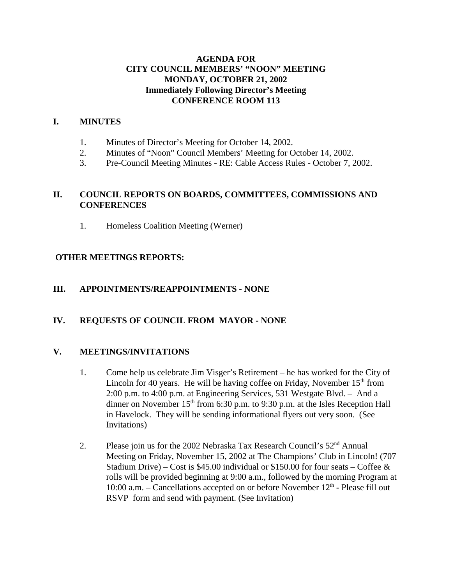### **AGENDA FOR CITY COUNCIL MEMBERS' "NOON" MEETING MONDAY, OCTOBER 21, 2002 Immediately Following Director's Meeting CONFERENCE ROOM 113**

### **I. MINUTES**

- 1. Minutes of Director's Meeting for October 14, 2002.
- 2. Minutes of "Noon" Council Members' Meeting for October 14, 2002.
- 3. Pre-Council Meeting Minutes RE: Cable Access Rules October 7, 2002.

# **II. COUNCIL REPORTS ON BOARDS, COMMITTEES, COMMISSIONS AND CONFERENCES**

1. Homeless Coalition Meeting (Werner)

# **OTHER MEETINGS REPORTS:**

# **III. APPOINTMENTS/REAPPOINTMENTS - NONE**

# **IV. REQUESTS OF COUNCIL FROM MAYOR - NONE**

### **V. MEETINGS/INVITATIONS**

- 1. Come help us celebrate Jim Visger's Retirement he has worked for the City of Lincoln for 40 years. He will be having coffee on Friday, November  $15<sup>th</sup>$  from 2:00 p.m. to 4:00 p.m. at Engineering Services, 531 Westgate Blvd. – And a dinner on November  $15<sup>th</sup>$  from 6:30 p.m. to 9:30 p.m. at the Isles Reception Hall in Havelock. They will be sending informational flyers out very soon. (See Invitations)
- 2. Please join us for the 2002 Nebraska Tax Research Council's  $52<sup>nd</sup>$  Annual Meeting on Friday, November 15, 2002 at The Champions' Club in Lincoln! (707 Stadium Drive) – Cost is \$45.00 individual or \$150.00 for four seats – Coffee  $\&$ rolls will be provided beginning at 9:00 a.m., followed by the morning Program at 10:00 a.m. – Cancellations accepted on or before November  $12<sup>th</sup>$  - Please fill out RSVP form and send with payment. (See Invitation)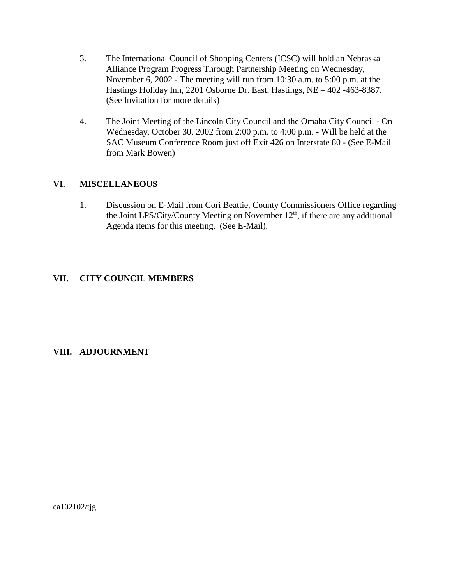- 3. The International Council of Shopping Centers (ICSC) will hold an Nebraska Alliance Program Progress Through Partnership Meeting on Wednesday, November 6, 2002 - The meeting will run from 10:30 a.m. to 5:00 p.m. at the Hastings Holiday Inn, 2201 Osborne Dr. East, Hastings, NE – 402 -463-8387. (See Invitation for more details)
- 4. The Joint Meeting of the Lincoln City Council and the Omaha City Council On Wednesday, October 30, 2002 from 2:00 p.m. to 4:00 p.m. - Will be held at the SAC Museum Conference Room just off Exit 426 on Interstate 80 - (See E-Mail from Mark Bowen)

# **VI. MISCELLANEOUS**

1. Discussion on E-Mail from Cori Beattie, County Commissioners Office regarding the Joint LPS/City/County Meeting on November 12<sup>th</sup>, if there are any additional Agenda items for this meeting. (See E-Mail).

# **VII. CITY COUNCIL MEMBERS**

### **VIII. ADJOURNMENT**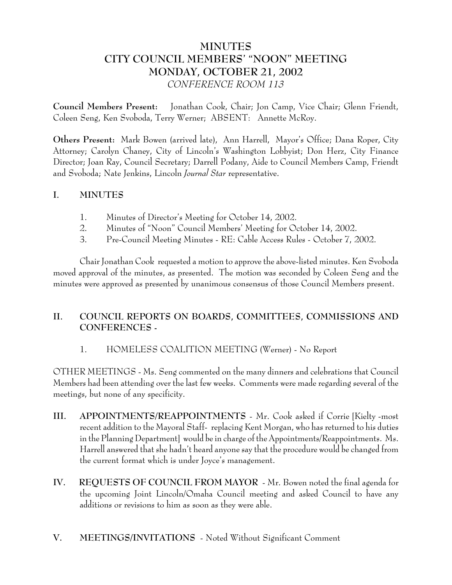# **MINUTES CITY COUNCIL MEMBERS' "NOON" MEETING MONDAY, OCTOBER 21, 2002** *CONFERENCE ROOM 113*

**Council Members Present:** Jonathan Cook, Chair; Jon Camp, Vice Chair; Glenn Friendt, Coleen Seng, Ken Svoboda, Terry Werner; ABSENT: Annette McRoy.

**Others Present:** Mark Bowen (arrived late), Ann Harrell, Mayor's Office; Dana Roper, City Attorney; Carolyn Chaney, City of Lincoln's Washington Lobbyist; Don Herz, City Finance Director; Joan Ray, Council Secretary; Darrell Podany, Aide to Council Members Camp, Friendt and Svoboda; Nate Jenkins, Lincoln *Journal Star* representative.

# **I. MINUTES**

- 1. Minutes of Director's Meeting for October 14, 2002.
- 2. Minutes of "Noon" Council Members' Meeting for October 14, 2002.
- 3. Pre-Council Meeting Minutes RE: Cable Access Rules October 7, 2002.

Chair Jonathan Cook requested a motion to approve the above-listed minutes. Ken Svoboda moved approval of the minutes, as presented. The motion was seconded by Coleen Seng and the minutes were approved as presented by unanimous consensus of those Council Members present.

# **II. COUNCIL REPORTS ON BOARDS, COMMITTEES, COMMISSIONS AND CONFERENCES -**

### 1. HOMELESS COALITION MEETING (Werner) - No Report

OTHER MEETINGS - Ms. Seng commented on the many dinners and celebrations that Council Members had been attending over the last few weeks. Comments were made regarding several of the meetings, but none of any specificity.

- **III. APPOINTMENTS/REAPPOINTMENTS** Mr. Cook asked if Corrie [Kielty -most recent addition to the Mayoral Staff- replacing Kent Morgan, who has returned to his duties in the Planning Department] would be in charge of the Appointments/Reappointments. Ms. Harrell answered that she hadn't heard anyone say that the procedure would be changed from the current format which is under Joyce's management.
- **IV. REQUESTS OF COUNCIL FROM MAYOR** Mr. Bowen noted the final agenda for the upcoming Joint Lincoln/Omaha Council meeting and asked Council to have any additions or revisions to him as soon as they were able.
- **V. MEETINGS/INVITATIONS** Noted Without Significant Comment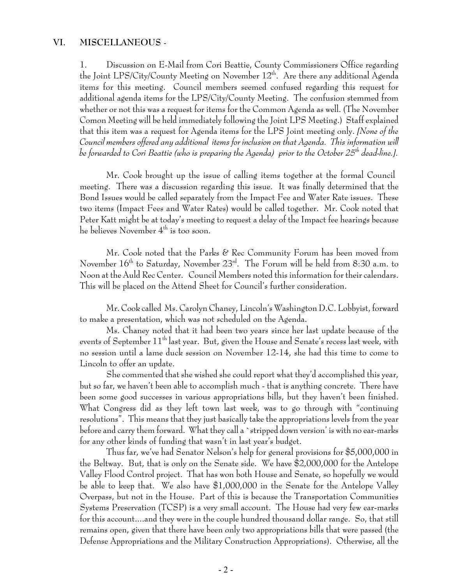#### **VI. MISCELLANEOUS** -

1. Discussion on E-Mail from Cori Beattie, County Commissioners Office regarding the Joint LPS/City/County Meeting on November  $12^{th}$ . Are there any additional Agenda items for this meeting. Council members seemed confused regarding this request for additional agenda items for the LPS/City/County Meeting. The confusion stemmed from whether or not this was a request for items for the Common Agenda as well. (The November Comon Meeting will be held immediately following the Joint LPS Meeting.) Staff explained that this item was a request for Agenda items for the LPS Joint meeting only. *[None of the Council members offered any additional items for inclusion on that Agenda. This information will be forwarded to Cori Beattie (who is preparing the Agenda) prior to the October 25th dead-line.].*

Mr. Cook brought up the issue of calling items together at the formal Council meeting. There was a discussion regarding this issue. It was finally determined that the Bond Issues would be called separately from the Impact Fee and Water Rate issues. These two items (Impact Fees and Water Rates) would be called together. Mr. Cook noted that Peter Katt might be at today's meeting to request a delay of the Impact fee hearings because he believes November  $4^{\text{th}}$  is too soon.

Mr. Cook noted that the Parks & Rec Community Forum has been moved from November  $16<sup>th</sup>$  to Saturday, November  $23<sup>rd</sup>$ . The Forum will be held from 8:30 a.m. to Noon at the Auld Rec Center. Council Members noted this information for their calendars. This will be placed on the Attend Sheet for Council's further consideration.

Mr. Cook called Ms. Carolyn Chaney, Lincoln's Washington D.C. Lobbyist, forward to make a presentation, which was not scheduled on the Agenda.

Ms. Chaney noted that it had been two years since her last update because of the events of September  $11<sup>th</sup>$  last year. But, given the House and Senate's recess last week, with no session until a lame duck session on November 12-14, she had this time to come to Lincoln to offer an update.

She commented that she wished she could report what they'd accomplished this year, but so far, we haven't been able to accomplish much - that is anything concrete. There have been some good successes in various appropriations bills, but they haven't been finished. What Congress did as they left town last week, was to go through with "continuing resolutions". This means that they just basically take the appropriations levels from the year before and carry them forward. What they call a `stripped down version' is with no ear-marks for any other kinds of funding that wasn't in last year's budget.

Thus far, we've had Senator Nelson's help for general provisions for \$5,000,000 in the Beltway. But, that is only on the Senate side. We have \$2,000,000 for the Antelope Valley Flood Control project. That has won both House and Senate, so hopefully we would be able to keep that. We also have \$1,000,000 in the Senate for the Antelope Valley Overpass, but not in the House. Part of this is because the Transportation Communities Systems Preservation (TCSP) is a very small account. The House had very few ear-marks for this account....and they were in the couple hundred thousand dollar range. So, that still remains open, given that there have been only two appropriations bills that were passed (the Defense Appropriations and the Military Construction Appropriations). Otherwise, all the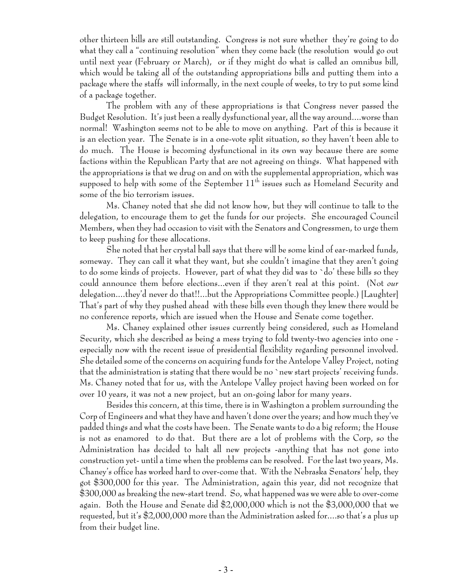other thirteen bills are still outstanding. Congress is not sure whether they're going to do what they call a "continuing resolution" when they come back (the resolution would go out until next year (February or March), or if they might do what is called an omnibus bill, which would be taking all of the outstanding appropriations bills and putting them into a package where the staffs will informally, in the next couple of weeks, to try to put some kind of a package together.

The problem with any of these appropriations is that Congress never passed the Budget Resolution. It's just been a really dysfunctional year, all the way around....worse than normal! Washington seems not to be able to move on anything. Part of this is because it is an election year. The Senate is in a one-vote split situation, so they haven't been able to do much. The House is becoming dysfunctional in its own way because there are some factions within the Republican Party that are not agreeing on things. What happened with the appropriations is that we drug on and on with the supplemental appropriation, which was supposed to help with some of the September  $11<sup>th</sup>$  issues such as Homeland Security and some of the bio terrorism issues.

Ms. Chaney noted that she did not know how, but they will continue to talk to the delegation, to encourage them to get the funds for our projects. She encouraged Council Members, when they had occasion to visit with the Senators and Congressmen, to urge them to keep pushing for these allocations.

She noted that her crystal ball says that there will be some kind of ear-marked funds, someway. They can call it what they want, but she couldn't imagine that they aren't going to do some kinds of projects. However, part of what they did was to `do' these bills so they could announce them before elections...even if they aren't real at this point. (Not *our* delegation....they'd never do that!!...but the Appropriations Committee people.) [Laughter] That's part of why they pushed ahead with these bills even though they knew there would be no conference reports, which are issued when the House and Senate come together.

Ms. Chaney explained other issues currently being considered, such as Homeland Security, which she described as being a mess trying to fold twenty-two agencies into one especially now with the recent issue of presidential flexibility regarding personnel involved. She detailed some of the concerns on acquiring funds for the Antelope Valley Project, noting that the administration is stating that there would be no `new start projects' receiving funds. Ms. Chaney noted that for us, with the Antelope Valley project having been worked on for over 10 years, it was not a new project, but an on-going labor for many years.

Besides this concern, at this time, there is in Washington a problem surrounding the Corp of Engineers and what they have and haven't done over the years; and how much they've padded things and what the costs have been. The Senate wants to do a big reform; the House is not as enamored to do that. But there are a lot of problems with the Corp, so the Administration has decided to halt all new projects -anything that has not gone into construction yet- until a time when the problems can be resolved. For the last two years, Ms. Chaney's office has worked hard to over-come that. With the Nebraska Senators' help, they got \$300,000 for this year. The Administration, again this year, did not recognize that \$300,000 as breaking the new-start trend. So, what happened was we were able to over-come again. Both the House and Senate did \$2,000,000 which is not the \$3,000,000 that we requested, but it's \$2,000,000 more than the Administration asked for....so that's a plus up from their budget line.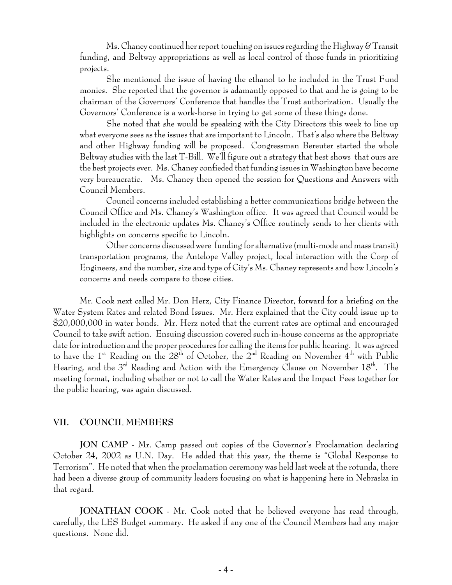Ms. Chaney continued her report touching on issues regarding the Highway  $\mathscr{C}$  Transit funding, and Beltway appropriations as well as local control of those funds in prioritizing projects.

She mentioned the issue of having the ethanol to be included in the Trust Fund monies. She reported that the governor is adamantly opposed to that and he is going to be chairman of the Governors' Conference that handles the Trust authorization. Usually the Governors' Conference is a work-horse in trying to get some of these things done.

She noted that she would be speaking with the City Directors this week to line up what everyone sees as the issues that are important to Lincoln. That's also where the Beltway and other Highway funding will be proposed. Congressman Bereuter started the whole Beltway studies with the last T-Bill. We'll figure out a strategy that best shows that ours are the best projects ever. Ms. Chaney confieded that funding issues in Washington have become very bureaucratic. Ms. Chaney then opened the session for Questions and Answers with Council Members.

Council concerns included establishing a better communications bridge between the Council Office and Ms. Chaney's Washington office. It was agreed that Council would be included in the electronic updates Ms. Chaney's Office routinely sends to her clients with highlights on concerns specific to Lincoln.

Other concerns discussed were funding for alternative (multi-mode and mass transit) transportation programs, the Antelope Valley project, local interaction with the Corp of Engineers, and the number, size and type of City's Ms. Chaney represents and how Lincoln's concerns and needs compare to those cities.

Mr. Cook next called Mr. Don Herz, City Finance Director, forward for a briefing on the Water System Rates and related Bond Issues. Mr. Herz explained that the City could issue up to \$20,000,000 in water bonds. Mr. Herz noted that the current rates are optimal and encouraged Council to take swift action. Ensuing discussion covered such in-house concerns as the appropriate date for introduction and the proper procedures for calling the items for public hearing. It was agreed to have the 1<sup>st</sup> Reading on the 28<sup>th</sup> of October, the 2<sup>nd</sup> Reading on November 4<sup>th</sup> with Public Hearing, and the 3<sup>rd</sup> Reading and Action with the Emergency Clause on November 18<sup>th</sup>. The meeting format, including whether or not to call the Water Rates and the Impact Fees together for the public hearing, was again discussed.

#### **VII. COUNCIL MEMBERS**

**JON CAMP** - Mr. Camp passed out copies of the Governor's Proclamation declaring October 24, 2002 as U.N. Day. He added that this year, the theme is "Global Response to Terrorism". He noted that when the proclamation ceremony was held last week at the rotunda, there had been a diverse group of community leaders focusing on what is happening here in Nebraska in that regard.

**JONATHAN COOK** - Mr. Cook noted that he believed everyone has read through, carefully, the LES Budget summary. He asked if any one of the Council Members had any major questions. None did.